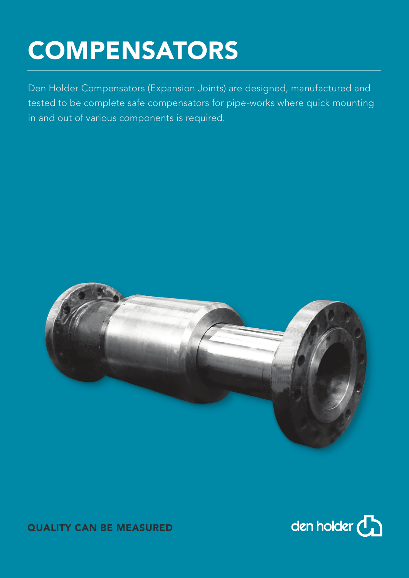# **COMPENSATORS**

Den Holder Compensators (Expansion Joints) are designed, manufactured and tested to be complete safe compensators for pipe-works where quick mounting in and out of various components is required.





QUALITY CAN BE MEASURED